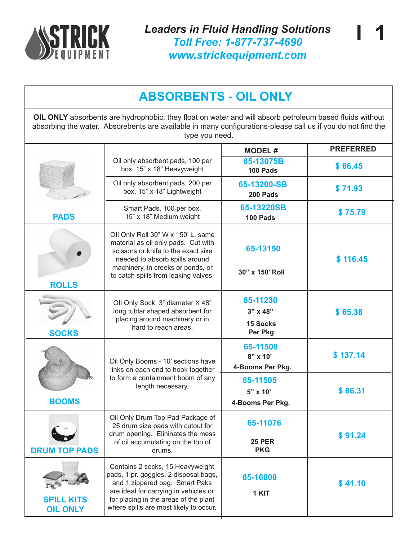

*Leaders in Fluid Handling Solutions Toll Free: 1-877-737-4690 www.strickequipment.com*

**I 1**

## **ABSORBENTS - OIL ONLY**

**OIL ONLY** absorbents are hydrophobic; they float on water and will absorb petroleum based fluids without absorbing the water. Absorebents are available in many configurations-please call us if you do not find the type you need.

|                                      |                                                                                                                                                                                                                                         | <b>MODEL#</b>                                        | <b>PREFERRED</b> |
|--------------------------------------|-----------------------------------------------------------------------------------------------------------------------------------------------------------------------------------------------------------------------------------------|------------------------------------------------------|------------------|
|                                      | Oil only absorbent pads, 100 per<br>box, 15" x 18" Heavyweight                                                                                                                                                                          | 65-13075B<br>100 Pads                                | \$66.45          |
|                                      | Oil only absorbent pads, 200 per<br>box, 15" x 18" Lightweight                                                                                                                                                                          | 65-13200-SB<br>200 Pads                              | \$71.93          |
| <b>PADS</b>                          | Smart Pads, 100 per box,<br>15" x 18" Medium weight                                                                                                                                                                                     | 65-13220SB<br>100 Pads                               | \$75.79          |
|                                      | Oll Only Roll 30" W x 150' L, same<br>material as oil only pads. Cut with<br>scissors or knife to the exact sixe<br>needed to absorb spills around<br>machinery, in creeks or ponds, or<br>to catch spills from leaking valves.         | 65-13150<br>30" x 150' Roll                          | \$116.45         |
| <b>ROLLS</b><br><b>SOCKS</b>         | Oll Only Sock; 3" diameter X 48"<br>long tublar shaped absorbent for<br>placing around machinery or in<br>hard to reach areas.                                                                                                          | 65-11230<br>$3"$ x 48"<br><b>15 Socks</b><br>Per Pkg | \$65.38          |
| <b>BOOMS</b>                         | Oil Only Booms - 10' sections have<br>links on each end to hook together<br>to form a containment boom of any<br>length necessary.                                                                                                      | 65-11508<br>$8"$ x 10'<br>4-Booms Per Pkg.           | \$137.14         |
|                                      |                                                                                                                                                                                                                                         | 65-11505<br>$5" \times 10'$<br>4-Booms Per Pkg.      | \$86.31          |
| <b>DRUM TOP PADS</b>                 | Oil Only Drum Top Pad Package of<br>25 drum size pads with cutout for<br>drum opening. Elininates the mess<br>of oil accumulating on the top of<br>drums.                                                                               | 65-11076<br><b>25 PER</b><br><b>PKG</b>              | \$91.24          |
| <b>SPILL KITS</b><br><b>OIL ONLY</b> | Contains 2 socks, 15 Heavyweight<br>pads, 1 pr. goggles, 2 disposal bags,<br>and 1 zippered bag. Smart Paks<br>are ideal for carrying in vehicles or<br>for placing in the areas of the plant<br>where spills are most likely to occur. | 65-16000<br>1 KIT                                    | \$41.10          |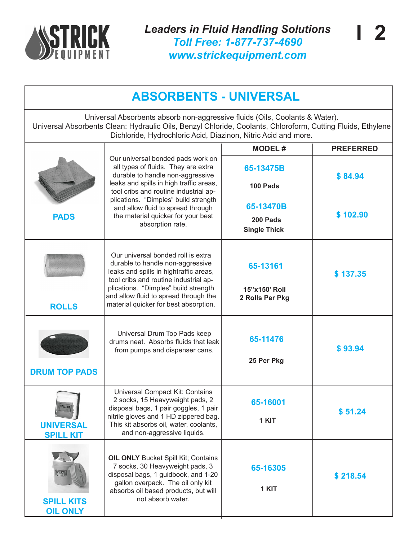

| <b>ABSORBENTS - UNIVERSAL</b>                                                                                                                                                                                                                                |                                                                                                                                                                                                                                                                                            |                                   |                  |  |  |
|--------------------------------------------------------------------------------------------------------------------------------------------------------------------------------------------------------------------------------------------------------------|--------------------------------------------------------------------------------------------------------------------------------------------------------------------------------------------------------------------------------------------------------------------------------------------|-----------------------------------|------------------|--|--|
| Universal Absorbents absorb non-aggressive fluids (Oils, Coolants & Water).<br>Universal Absorbents Clean: Hydraulic Oils, Benzyl Chloride, Coolants, Chloroform, Cutting Fluids, Ethylene<br>Dichloride, Hydrochloric Acid, Diazinon, Nitric Acid and more. |                                                                                                                                                                                                                                                                                            |                                   |                  |  |  |
|                                                                                                                                                                                                                                                              |                                                                                                                                                                                                                                                                                            | <b>MODEL#</b>                     | <b>PREFERRED</b> |  |  |
|                                                                                                                                                                                                                                                              | Our universal bonded pads work on<br>all types of fluids. They are extra<br>durable to handle non-aggressive<br>leaks and spills in high traffic areas,<br>tool cribs and routine industrial ap-<br>plications. "Dimples" build strength<br>and allow fluid to spread through              | 65-13475B<br>100 Pads             | \$84.94          |  |  |
|                                                                                                                                                                                                                                                              |                                                                                                                                                                                                                                                                                            | 65-13470B                         |                  |  |  |
| <b>PADS</b>                                                                                                                                                                                                                                                  | the material quicker for your best                                                                                                                                                                                                                                                         | 200 Pads                          | \$102.90         |  |  |
|                                                                                                                                                                                                                                                              | absorption rate.                                                                                                                                                                                                                                                                           | <b>Single Thick</b>               |                  |  |  |
|                                                                                                                                                                                                                                                              | Our universal bonded roll is extra<br>durable to handle non-aggressive<br>65-13161<br>leaks and spills in hightraffic areas,<br>tool cribs and routine industrial ap-<br>plications. "Dimples" build strength<br>15"x150' Roll<br>and allow fluid to spread through the<br>2 Rolls Per Pkg |                                   | \$137.35         |  |  |
| <b>ROLLS</b>                                                                                                                                                                                                                                                 | material quicker for best absorption.                                                                                                                                                                                                                                                      |                                   |                  |  |  |
|                                                                                                                                                                                                                                                              | Universal Drum Top Pads keep<br>drums neat. Absorbs fluids that leak<br>from pumps and dispenser cans.                                                                                                                                                                                     | 65-11476<br>\$93.94<br>25 Per Pkg |                  |  |  |
| <b>DRUM TOP PADS</b>                                                                                                                                                                                                                                         |                                                                                                                                                                                                                                                                                            |                                   |                  |  |  |
| SPILL KIT<br><b>UNIVERSAL</b><br><b>SPILL KIT</b>                                                                                                                                                                                                            | Universal Compact Kit: Contains<br>2 socks, 15 Heavyweight pads, 2<br>disposal bags, 1 pair goggles, 1 pair<br>nitrile gloves and 1 HD zippered bag.<br>This kit absorbs oil, water, coolants,<br>and non-aggressive liquids.                                                              | 65-16001<br>1 KIT                 | \$51.24          |  |  |
| <b>SPILL KIT</b><br><b>SPILL KITS</b><br><b>OIL ONLY</b>                                                                                                                                                                                                     | <b>OIL ONLY Bucket Spill Kit; Contains</b><br>7 socks, 30 Heavyweight pads, 3<br>disposal bags, 1 guidbook, and 1-20<br>gallon overpack. The oil only kit<br>absorbs oil based products, but will<br>not absorb water.                                                                     | 65-16305<br>1 KIT                 | \$218.54         |  |  |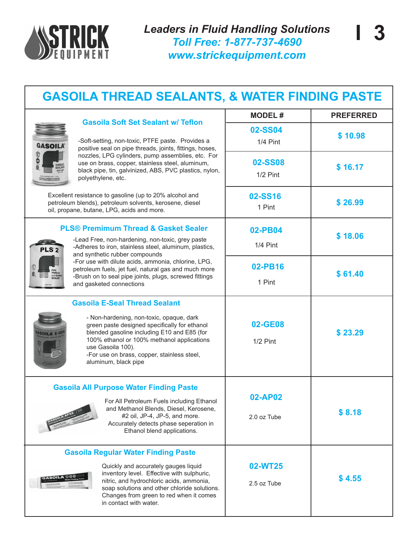

**02-SS04**

**02-SS08**

1/2 Pint

1/4 Pint

**MODEL # PREFERRED**

**\$ 10.98**

**\$ 16.17**

## **GASOILA THREAD SEALANTS, & WATER FINDING PASTE**



## **Gasoila Soft Set Sealant w/ Teflon**

-Soft-setting, non-toxic, PTFE paste. Provides a positive seal on pipe threads, joints, fittings, hoses, nozzles, LPG cylinders, pump assemblies, etc. For use on brass, copper, stainless steel, aluminum, black pipe, tin, galvinized, ABS, PVC plastics, nylon, polyethylene, etc.

| PLS <sup>2</sup>                                     |
|------------------------------------------------------|
| PIPE<br><b>THREAD</b><br>and GASKET<br><b>SEALER</b> |
| ONE PINT                                             |

**SOILA** 

| cellent resistance to gasoline (up to 20% alcohol and<br>etroleum blends), petroleum solvents, kerosene, diesel<br>l, propane, butane, LPG, acids and more.                                                                                                                                                                | 02-SS16<br>1 Pint      | \$26.99 |
|----------------------------------------------------------------------------------------------------------------------------------------------------------------------------------------------------------------------------------------------------------------------------------------------------------------------------|------------------------|---------|
| <b>PLS® Premimum Thread &amp; Gasket Sealer</b><br>-Lead Free, non-hardening, non-toxic, grey paste<br>-Adheres to iron, stainless steel, aluminum, plastics,<br>and synthetic rubber compounds                                                                                                                            | 02-PB04<br>1/4 Pint    | \$18.06 |
| -For use with dilute acids, ammonia, chlorine, LPG,<br>petroleum fuels, jet fuel, natural gas and much more<br><b>IPE<br/>HREAD<br/>1d GASKET<br/>EALER</b><br>-Brush on to seal pipe joints, plugs, screwed fittings<br>and gasketed connections                                                                          | 02-PB16<br>1 Pint      | \$61.40 |
| <b>Gasoila E-Seal Thread Sealant</b><br>- Non-hardening, non-toxic, opaque, dark<br>green paste designed specifically for ethanol<br>blended gasoline including E10 and E85 (for<br>100% ethanol or 100% methanol applications<br>use Gasoila 100).<br>-For use on brass, copper, stainless steel,<br>aluminum, black pipe | 02-GE08<br>$1/2$ Pint  | \$23.29 |
| <b>Gasoila All Purpose Water Finding Paste</b><br>For All Petroleum Fuels including Ethanol<br>and Methanol Blends, Diesel, Kerosene,<br>#2 oil, JP-4, JP-5, and more.<br>Accurately detects phase seperation in<br>Ethanol blend applications.                                                                            | 02-AP02<br>2.0 oz Tube | \$8.18  |
| <b>Gasoila Regular Water Finding Paste</b><br>Quickly and accurately gauges liquid<br>inventory level. Effective with sulphuric,<br>nitric, and hydrochloric acids, ammonia,<br>soap solutions and other chloride solutions.<br>Changes from green to red when it comes<br>in contact with water.                          | 02-WT25<br>2.5 oz Tube | \$4.55  |